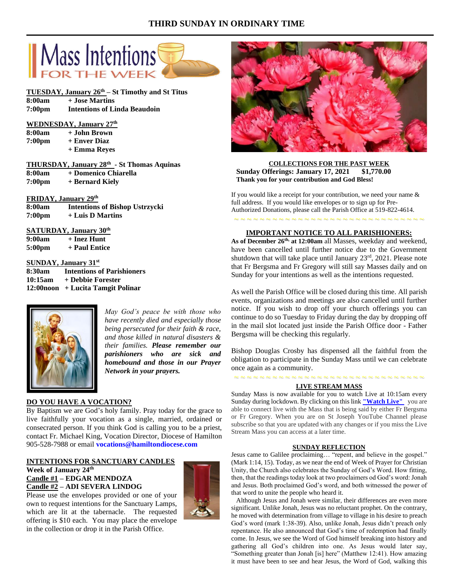# **THIRD SUNDAY IN ORDINARY TIME**



# **TUESDAY, January 26th – St Timothy and St Titus**

| 8:00am | + Jose Martins                      |
|--------|-------------------------------------|
| 7:00pm | <b>Intentions of Linda Beaudoin</b> |

## **WEDNESDAY, January 27th**

| 8:00am | + John Brown |
|--------|--------------|
| 7:00pm | + Enver Diaz |
|        | + Emma Reyes |

|        | THURSDAY, January 28th - St Thomas Aquinas |  |
|--------|--------------------------------------------|--|
| 8:00am | + Domenico Chiarella                       |  |

**7:00pm + Bernard Kiely**

# **FRIDAY, January 29th**

**8:00am Intentions of Bishop Ustrzycki 7:00pm + Luis D Martins**

# **SATURDAY, January 30th**

**9:00am + Inez Hunt**

**5:00pm + Paul Entice**

# **SUNDAY, January 31st**

| 8:30am  | <b>Intentions of Parishioners</b> |
|---------|-----------------------------------|
| 10:15am | + Debbie Forester                 |
|         | 12:00noon + Lucita Tamgit Polinar |



*May God's peace be with those who have recently died and especially those being persecuted for their faith & race, and those killed in natural disasters & their families. Please remember our parishioners who are sick and homebound and those in our Prayer Network in your prayers.*

# **DO YOU HAVE A VOCATION?**

By Baptism we are God's holy family. Pray today for the grace to live faithfully your vocation as a single, married, ordained or consecrated person. If you think God is calling you to be a priest, contact Fr. Michael King, Vocation Director, Diocese of Hamilton 905-528-7988 or email **vocations@hamiltondiocese.com** 

# **INTENTIONS FOR SANCTUARY CANDLES**

# **Week of January 24th Candle #1 – EDGAR MENDOZA Candle #2 – ADI SEVERA LINDOG**

Please use the envelopes provided or one of your own to request intentions for the Sanctuary Lamps, which are lit at the tabernacle. The requested offering is \$10 each. You may place the envelope in the collection or drop it in the Parish Office.





## **COLLECTIONS FOR THE PAST WEEK Sunday Offerings: January 17, 2021 \$1,770.00 Thank you for your contribution and God Bless!**

If you would like a receipt for your contribution, we need your name & full address. If you would like envelopes or to sign up for Pre-Authorized Donations, please call the Parish Office at 519-822-4614.

# ~ ~ ~ ~ ~ ~ ~ ~ ~ ~ ~ ~ ~ ~ ~ ~ ~ ~ ~ ~ ~ ~ ~ ~ ~ ~ ~ ~ ~ ~ **IMPORTANT NOTICE TO ALL PARISHIONERS:**

**As of December 26th, at 12:00am** all Masses, weekday and weekend, have been cancelled until further notice due to the Government shutdown that will take place until January 23rd, 2021. Please note that Fr Bergsma and Fr Gregory will still say Masses daily and on Sunday for your intentions as well as the intentions requested.

As well the Parish Office will be closed during this time. All parish events, organizations and meetings are also cancelled until further notice. If you wish to drop off your church offerings you can continue to do so Tuesday to Friday during the day by dropping off in the mail slot located just inside the Parish Office door - Father Bergsma will be checking this regularly.

Bishop Douglas Crosby has dispensed all the faithful from the obligation to participate in the Sunday Mass until we can celebrate once again as a community.

#### **LIVE STREAM MASS**

~ ~ ~ ~ ~ ~ ~ ~ ~ ~ ~ ~ ~ ~ ~ ~ ~ ~ ~ ~ ~ ~ ~ ~ ~ ~ ~ ~ ~ ~

Sunday Mass is now available for you to watch Live at 10:15am every Sunday during lockdown. By clicking on this link **["Watch](https://www.youtube.com/channel/UCL59hxegD__FDJSdMDrt31w) Live"** you are able to connect live with the Mass that is being said by either Fr Bergsma or Fr Gregory. When you are on St Joseph YouTube Channel please subscribe so that you are updated with any changes or if you miss the Live Stream Mass you can access at a later time.

#### **SUNDAY REFLECTION**

Jesus came to Galilee proclaiming… "repent, and believe in the gospel." (Mark 1:14, 15). Today, as we near the end of Week of Prayer for Christian Unity, the Church also celebrates the Sunday of God's Word. How fitting, then, that the readings today look at two proclaimers od God's word: Jonah and Jesus. Both proclaimed God's word, and both witnessed the power of that word to unite the people who heard it.

 Although Jesus and Jonah were similar, their differences are even more significant. Unlike Jonah, Jesus was no reluctant prophet. On the contrary, he moved with determination from village to village in his desire to preach God's word (mark 1:38-39). Also, unlike Jonah, Jesus didn't preach only repentance. He also announced that God's time of redemption had finally come. In Jesus, we see the Word of God himself breaking into history and gathering all God's children into one. As Jesus would later say, "Something greater than Jonah [is] here" (Matthew 12:41). How amazing it must have been to see and hear Jesus, the Word of God, walking this